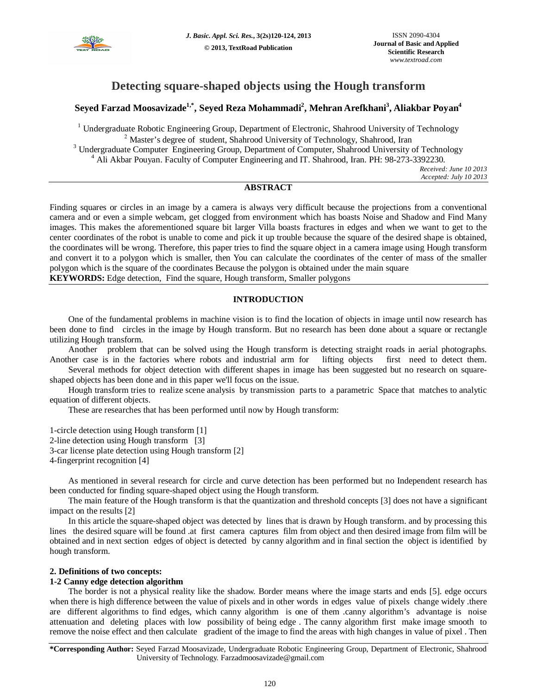

# **Detecting square-shaped objects using the Hough transform**

# **Seyed Farzad Moosavizade1,\* , Seyed Reza Mohammadi<sup>2</sup> , Mehran Arefkhani<sup>3</sup> , Aliakbar Poyan<sup>4</sup>**

<sup>1</sup> Undergraduate Robotic Engineering Group, Department of Electronic, Shahrood University of Technology <sup>2</sup> Master's degree of student, Shahrood University of Technology, Shahrood, Iran <sup>3</sup> Undergraduate Computer Engineering Group, Department of Computer, Shahrood University of Technology <sup>4</sup> Ali Akbar Pouyan. Faculty of Computer Engineering and IT. Shahrood, Iran. PH: 98-273-3392230.

*Received: June 10 2013 Accepted: July 10 2013*

# **ABSTRACT**

Finding squares or circles in an image by a camera is always very difficult because the projections from a conventional camera and or even a simple webcam, get clogged from environment which has boasts Noise and Shadow and Find Many images. This makes the aforementioned square bit larger Villa boasts fractures in edges and when we want to get to the center coordinates of the robot is unable to come and pick it up trouble because the square of the desired shape is obtained, the coordinates will be wrong. Therefore, this paper tries to find the square object in a camera image using Hough transform and convert it to a polygon which is smaller, then You can calculate the coordinates of the center of mass of the smaller polygon which is the square of the coordinates Because the polygon is obtained under the main square **KEYWORDS:** Edge detection, Find the square, Hough transform, Smaller polygons

# **INTRODUCTION**

One of the fundamental problems in machine vision is to find the location of objects in image until now research has been done to find circles in the image by Hough transform. But no research has been done about a square or rectangle utilizing Hough transform.

Another problem that can be solved using the Hough transform is detecting straight roads in aerial photographs. Another case is in the factories where robots and industrial arm for lifting objects first need to detect them.

Several methods for object detection with different shapes in image has been suggested but no research on squareshaped objects has been done and in this paper we'll focus on the issue.

Hough transform tries to realize scene analysis by transmission parts to a parametric Space that matches to analytic equation of different objects.

These are researches that has been performed until now by Hough transform:

1-circle detection using Hough transform [1] 2-line detection using Hough transform [3] 3-car license plate detection using Hough transform [2] 4-fingerprint recognition [4]

As mentioned in several research for circle and curve detection has been performed but no Independent research has been conducted for finding square-shaped object using the Hough transform.

The main feature of the Hough transform is that the quantization and threshold concepts [3] does not have a significant impact on the results [2]

In this article the square-shaped object was detected by lines that is drawn by Hough transform. and by processing this lines the desired square will be found .at first camera captures film from object and then desired image from film will be obtained and in next section edges of object is detected by canny algorithm and in final section the object is identified by hough transform.

## **2. Definitions of two concepts:**

## **1-2 Canny edge detection algorithm**

The border is not a physical reality like the shadow. Border means where the image starts and ends [5]. edge occurs when there is high difference between the value of pixels and in other words in edges value of pixels change widely .there are different algorithms to find edges, which canny algorithm is one of them .canny algorithm's advantage is noise attenuation and deleting places with low possibility of being edge . The canny algorithm first make image smooth to remove the noise effect and then calculate gradient of the image to find the areas with high changes in value of pixel . Then

**\*Corresponding Author:** Seyed Farzad Moosavizade, Undergraduate Robotic Engineering Group, Department of Electronic, Shahrood University of Technology. Farzadmoosavizade@gmail.com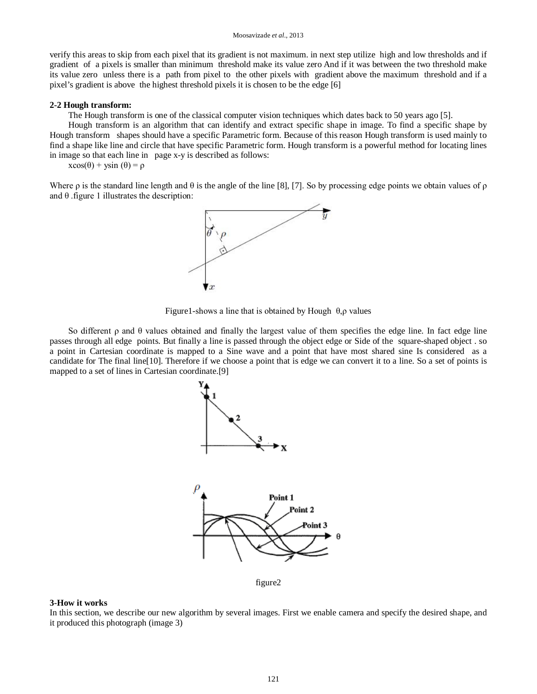#### Moosavizade *et al.,* 2013

verify this areas to skip from each pixel that its gradient is not maximum. in next step utilize high and low thresholds and if gradient of a pixels is smaller than minimum threshold make its value zero And if it was between the two threshold make its value zero unless there is a path from pixel to the other pixels with gradient above the maximum threshold and if a pixel's gradient is above the highest threshold pixels it is chosen to be the edge [6]

#### **2-2 Hough transform:**

The Hough transform is one of the classical computer vision techniques which dates back to 50 years ago [5].

Hough transform is an algorithm that can identify and extract specific shape in image. To find a specific shape by Hough transform shapes should have a specific Parametric form. Because of this reason Hough transform is used mainly to find a shape like line and circle that have specific Parametric form. Hough transform is a powerful method for locating lines in image so that each line in page x-y is described as follows:

 $x\cos(\theta) + y\sin(\theta) = \rho$ 

Where  $\rho$  is the standard line length and  $\theta$  is the angle of the line [8], [7]. So by processing edge points we obtain values of  $\rho$ and  $\theta$  . figure 1 illustrates the description:



Figure1-shows a line that is obtained by Hough  $\theta$ ,  $\rho$  values

So different ρ and θ values obtained and finally the largest value of them specifies the edge line. In fact edge line passes through all edge points. But finally a line is passed through the object edge or Side of the square-shaped object . so a point in Cartesian coordinate is mapped to a Sine wave and a point that have most shared sine Is considered as a candidate for The final line[10]. Therefore if we choose a point that is edge we can convert it to a line. So a set of points is mapped to a set of lines in Cartesian coordinate.[9]



figure2

#### **3-How it works**

In this section, we describe our new algorithm by several images. First we enable camera and specify the desired shape, and it produced this photograph (image 3)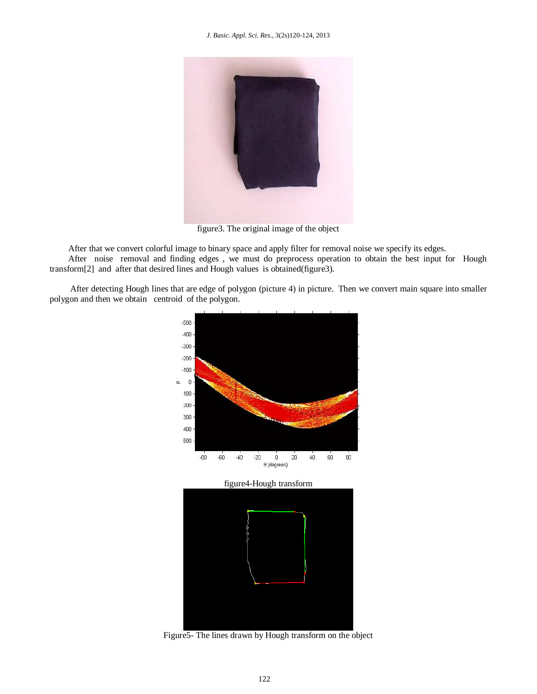#### *J. Basic. Appl. Sci. Res.*, 3(2s)120-124, 2013



figure3. The original image of the object

After that we convert colorful image to binary space and apply filter for removal noise we specify its edges.

After noise removal and finding edges , we must do preprocess operation to obtain the best input for Hough transform[2] and after that desired lines and Hough values is obtained(figure3).

After detecting Hough lines that are edge of polygon (picture 4) in picture. Then we convert main square into smaller polygon and then we obtain centroid of the polygon.



Figure5- The lines drawn by Hough transform on the object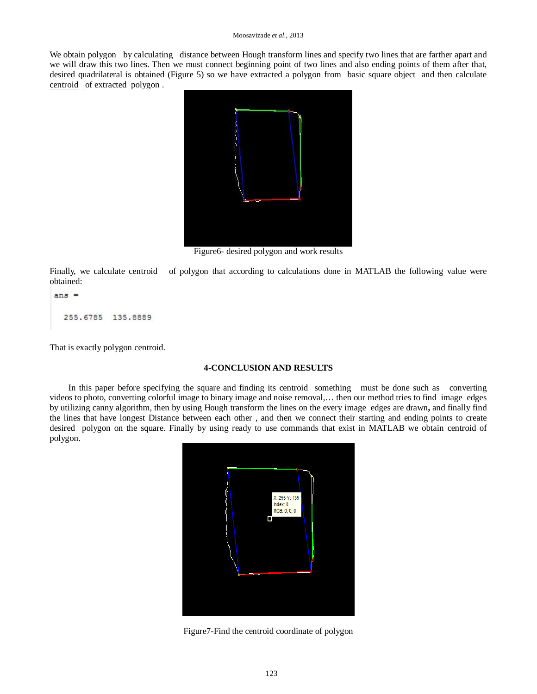#### Moosavizade *et al.,* 2013

We obtain polygon by calculating distance between Hough transform lines and specify two lines that are farther apart and we will draw this two lines. Then we must connect beginning point of two lines and also ending points of them after that, desired quadrilateral is obtained (Figure 5) so we have extracted a polygon from basic square object and then calculate centroid of extracted polygon .



Figure6- desired polygon and work results

Finally, we calculate centroid of polygon that according to calculations done in MATLAB the following value were obtained:

```
ans =255.6785 135.8889
```
That is exactly polygon centroid.

### **4-CONCLUSION AND RESULTS**

In this paper before specifying the square and finding its centroid something must be done such as converting videos to photo, converting colorful image to binary image and noise removal,… then our method tries to find image edges by utilizing canny algorithm, then by using Hough transform the lines on the every image edges are drawn**,** and finally find the lines that have longest Distance between each other , and then we connect their starting and ending points to create desired polygon on the square. Finally by using ready to use commands that exist in MATLAB we obtain centroid of polygon.



Figure7-Find the centroid coordinate of polygon